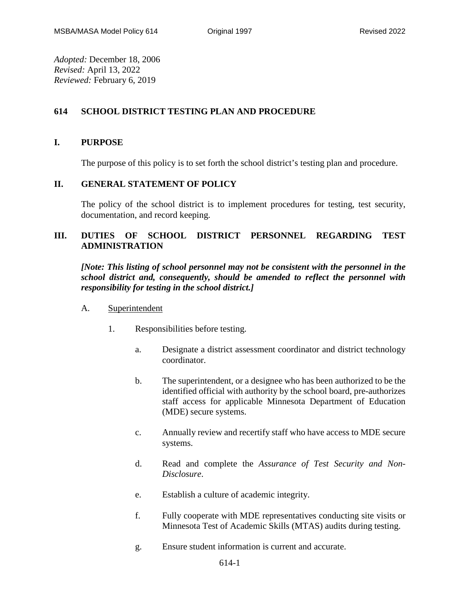*Adopted:* December 18, 2006 *Revised:* April 13, 2022 *Reviewed:* February 6, 2019

# **614 SCHOOL DISTRICT TESTING PLAN AND PROCEDURE**

# **I. PURPOSE**

The purpose of this policy is to set forth the school district's testing plan and procedure.

# **II. GENERAL STATEMENT OF POLICY**

The policy of the school district is to implement procedures for testing, test security, documentation, and record keeping.

# **III. DUTIES OF SCHOOL DISTRICT PERSONNEL REGARDING TEST ADMINISTRATION**

*[Note: This listing of school personnel may not be consistent with the personnel in the school district and, consequently, should be amended to reflect the personnel with responsibility for testing in the school district.]*

- A. Superintendent
	- 1. Responsibilities before testing.
		- a. Designate a district assessment coordinator and district technology coordinator.
		- b. The superintendent, or a designee who has been authorized to be the identified official with authority by the school board, pre-authorizes staff access for applicable Minnesota Department of Education (MDE) secure systems.
		- c. Annually review and recertify staff who have access to MDE secure systems.
		- d. Read and complete the *Assurance of Test Security and Non-Disclosure*.
		- e. Establish a culture of academic integrity.
		- f. Fully cooperate with MDE representatives conducting site visits or Minnesota Test of Academic Skills (MTAS) audits during testing.
		- g. Ensure student information is current and accurate.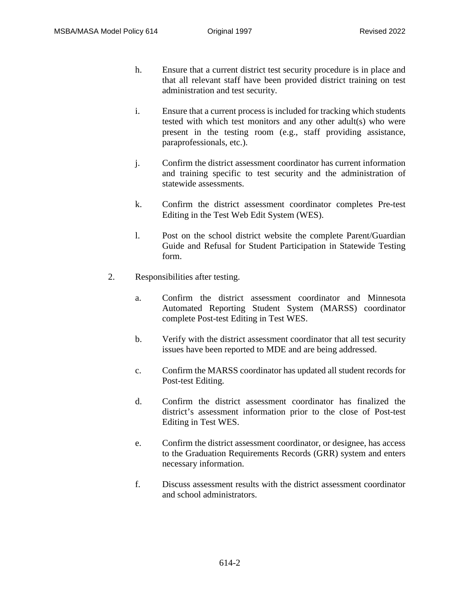- h. Ensure that a current district test security procedure is in place and that all relevant staff have been provided district training on test administration and test security.
- i. Ensure that a current process is included for tracking which students tested with which test monitors and any other adult(s) who were present in the testing room (e.g., staff providing assistance, paraprofessionals, etc.).
- j. Confirm the district assessment coordinator has current information and training specific to test security and the administration of statewide assessments.
- k. Confirm the district assessment coordinator completes Pre-test Editing in the Test Web Edit System (WES).
- l. Post on the school district website the complete Parent/Guardian Guide and Refusal for Student Participation in Statewide Testing form.
- 2. Responsibilities after testing.
	- a. Confirm the district assessment coordinator and Minnesota Automated Reporting Student System (MARSS) coordinator complete Post-test Editing in Test WES.
	- b. Verify with the district assessment coordinator that all test security issues have been reported to MDE and are being addressed.
	- c. Confirm the MARSS coordinator has updated all student records for Post-test Editing.
	- d. Confirm the district assessment coordinator has finalized the district's assessment information prior to the close of Post-test Editing in Test WES.
	- e. Confirm the district assessment coordinator, or designee, has access to the Graduation Requirements Records (GRR) system and enters necessary information.
	- f. Discuss assessment results with the district assessment coordinator and school administrators.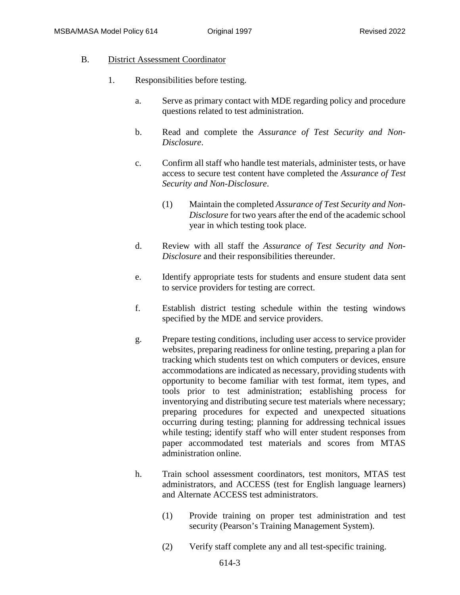### B. District Assessment Coordinator

- 1. Responsibilities before testing.
	- a. Serve as primary contact with MDE regarding policy and procedure questions related to test administration.
	- b. Read and complete the *Assurance of Test Security and Non-Disclosure*.
	- c. Confirm all staff who handle test materials, administer tests, or have access to secure test content have completed the *Assurance of Test Security and Non-Disclosure*.
		- (1) Maintain the completed *Assurance of Test Security and Non-Disclosure* for two years after the end of the academic school year in which testing took place.
	- d. Review with all staff the *Assurance of Test Security and Non-Disclosure* and their responsibilities thereunder.
	- e. Identify appropriate tests for students and ensure student data sent to service providers for testing are correct.
	- f. Establish district testing schedule within the testing windows specified by the MDE and service providers.
	- g. Prepare testing conditions, including user access to service provider websites, preparing readiness for online testing, preparing a plan for tracking which students test on which computers or devices, ensure accommodations are indicated as necessary, providing students with opportunity to become familiar with test format, item types, and tools prior to test administration; establishing process for inventorying and distributing secure test materials where necessary; preparing procedures for expected and unexpected situations occurring during testing; planning for addressing technical issues while testing; identify staff who will enter student responses from paper accommodated test materials and scores from MTAS administration online.
	- h. Train school assessment coordinators, test monitors, MTAS test administrators, and ACCESS (test for English language learners) and Alternate ACCESS test administrators.
		- (1) Provide training on proper test administration and test security (Pearson's Training Management System).
		- (2) Verify staff complete any and all test-specific training.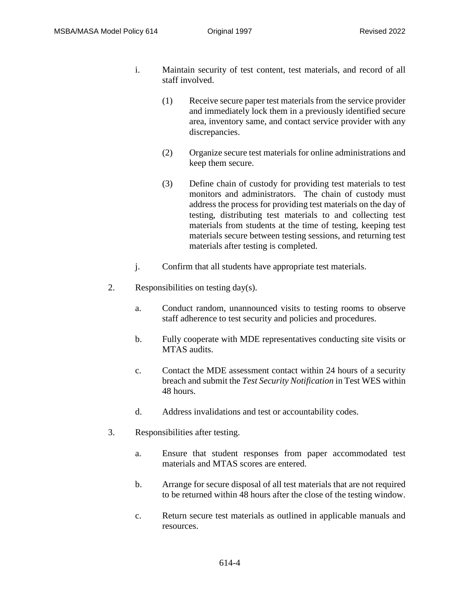- i. Maintain security of test content, test materials, and record of all staff involved.
	- (1) Receive secure paper test materials from the service provider and immediately lock them in a previously identified secure area, inventory same, and contact service provider with any discrepancies.
	- (2) Organize secure test materials for online administrations and keep them secure.
	- (3) Define chain of custody for providing test materials to test monitors and administrators. The chain of custody must address the process for providing test materials on the day of testing, distributing test materials to and collecting test materials from students at the time of testing, keeping test materials secure between testing sessions, and returning test materials after testing is completed.
- j. Confirm that all students have appropriate test materials.
- 2. Responsibilities on testing day(s).
	- a. Conduct random, unannounced visits to testing rooms to observe staff adherence to test security and policies and procedures.
	- b. Fully cooperate with MDE representatives conducting site visits or MTAS audits.
	- c. Contact the MDE assessment contact within 24 hours of a security breach and submit the *Test Security Notification* in Test WES within 48 hours.
	- d. Address invalidations and test or accountability codes.
- 3. Responsibilities after testing.
	- a. Ensure that student responses from paper accommodated test materials and MTAS scores are entered.
	- b. Arrange for secure disposal of all test materials that are not required to be returned within 48 hours after the close of the testing window.
	- c. Return secure test materials as outlined in applicable manuals and resources.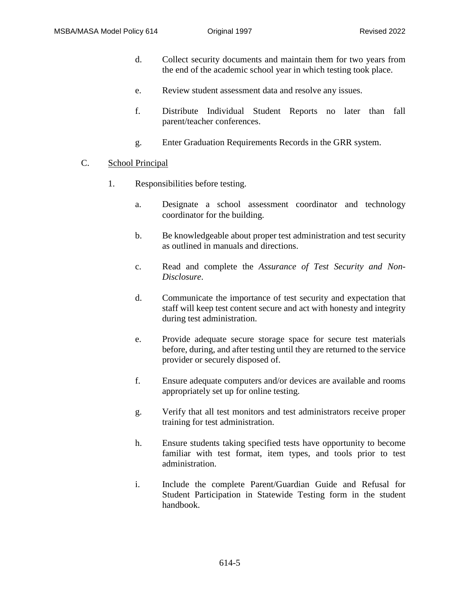- d. Collect security documents and maintain them for two years from the end of the academic school year in which testing took place.
- e. Review student assessment data and resolve any issues.
- f. Distribute Individual Student Reports no later than fall parent/teacher conferences.
- g. Enter Graduation Requirements Records in the GRR system.
- C. School Principal
	- 1. Responsibilities before testing.
		- a. Designate a school assessment coordinator and technology coordinator for the building.
		- b. Be knowledgeable about proper test administration and test security as outlined in manuals and directions.
		- c. Read and complete the *Assurance of Test Security and Non-Disclosure*.
		- d. Communicate the importance of test security and expectation that staff will keep test content secure and act with honesty and integrity during test administration.
		- e. Provide adequate secure storage space for secure test materials before, during, and after testing until they are returned to the service provider or securely disposed of.
		- f. Ensure adequate computers and/or devices are available and rooms appropriately set up for online testing.
		- g. Verify that all test monitors and test administrators receive proper training for test administration.
		- h. Ensure students taking specified tests have opportunity to become familiar with test format, item types, and tools prior to test administration.
		- i. Include the complete Parent/Guardian Guide and Refusal for Student Participation in Statewide Testing form in the student handbook.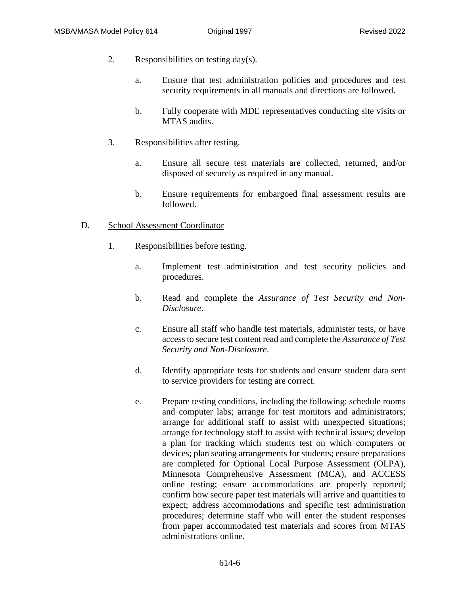- 2. Responsibilities on testing day(s).
	- a. Ensure that test administration policies and procedures and test security requirements in all manuals and directions are followed.
	- b. Fully cooperate with MDE representatives conducting site visits or MTAS audits.
- 3. Responsibilities after testing.
	- a. Ensure all secure test materials are collected, returned, and/or disposed of securely as required in any manual.
	- b. Ensure requirements for embargoed final assessment results are followed.

### D. School Assessment Coordinator

- 1. Responsibilities before testing.
	- a. Implement test administration and test security policies and procedures.
	- b. Read and complete the *Assurance of Test Security and Non-Disclosure*.
	- c. Ensure all staff who handle test materials, administer tests, or have access to secure test content read and complete the *Assurance of Test Security and Non-Disclosure*.
	- d. Identify appropriate tests for students and ensure student data sent to service providers for testing are correct.
	- e. Prepare testing conditions, including the following: schedule rooms and computer labs; arrange for test monitors and administrators; arrange for additional staff to assist with unexpected situations; arrange for technology staff to assist with technical issues; develop a plan for tracking which students test on which computers or devices; plan seating arrangements for students; ensure preparations are completed for Optional Local Purpose Assessment (OLPA), Minnesota Comprehensive Assessment (MCA), and ACCESS online testing; ensure accommodations are properly reported; confirm how secure paper test materials will arrive and quantities to expect; address accommodations and specific test administration procedures; determine staff who will enter the student responses from paper accommodated test materials and scores from MTAS administrations online.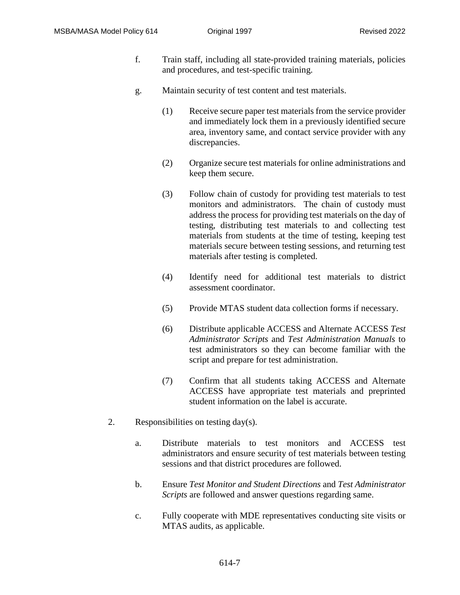- f. Train staff, including all state-provided training materials, policies and procedures, and test-specific training.
- g. Maintain security of test content and test materials.
	- (1) Receive secure paper test materials from the service provider and immediately lock them in a previously identified secure area, inventory same, and contact service provider with any discrepancies.
	- (2) Organize secure test materials for online administrations and keep them secure.
	- (3) Follow chain of custody for providing test materials to test monitors and administrators. The chain of custody must address the process for providing test materials on the day of testing, distributing test materials to and collecting test materials from students at the time of testing, keeping test materials secure between testing sessions, and returning test materials after testing is completed.
	- (4) Identify need for additional test materials to district assessment coordinator.
	- (5) Provide MTAS student data collection forms if necessary.
	- (6) Distribute applicable ACCESS and Alternate ACCESS *Test Administrator Scripts* and *Test Administration Manuals* to test administrators so they can become familiar with the script and prepare for test administration.
	- (7) Confirm that all students taking ACCESS and Alternate ACCESS have appropriate test materials and preprinted student information on the label is accurate.
- 2. Responsibilities on testing day(s).
	- a. Distribute materials to test monitors and ACCESS test administrators and ensure security of test materials between testing sessions and that district procedures are followed.
	- b. Ensure *Test Monitor and Student Directions* and *Test Administrator Scripts* are followed and answer questions regarding same.
	- c. Fully cooperate with MDE representatives conducting site visits or MTAS audits, as applicable.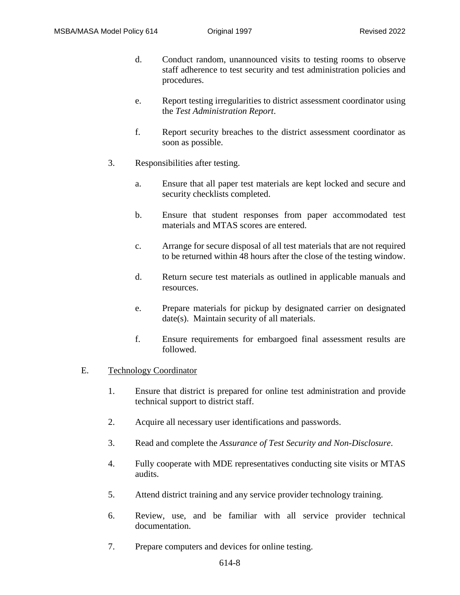- d. Conduct random, unannounced visits to testing rooms to observe staff adherence to test security and test administration policies and procedures.
- e. Report testing irregularities to district assessment coordinator using the *Test Administration Report*.
- f. Report security breaches to the district assessment coordinator as soon as possible.
- 3. Responsibilities after testing.
	- a. Ensure that all paper test materials are kept locked and secure and security checklists completed.
	- b. Ensure that student responses from paper accommodated test materials and MTAS scores are entered.
	- c. Arrange for secure disposal of all test materials that are not required to be returned within 48 hours after the close of the testing window.
	- d. Return secure test materials as outlined in applicable manuals and resources.
	- e. Prepare materials for pickup by designated carrier on designated date(s). Maintain security of all materials.
	- f. Ensure requirements for embargoed final assessment results are followed.

### E. Technology Coordinator

- 1. Ensure that district is prepared for online test administration and provide technical support to district staff.
- 2. Acquire all necessary user identifications and passwords.
- 3. Read and complete the *Assurance of Test Security and Non-Disclosure*.
- 4. Fully cooperate with MDE representatives conducting site visits or MTAS audits.
- 5. Attend district training and any service provider technology training.
- 6. Review, use, and be familiar with all service provider technical documentation.
- 7. Prepare computers and devices for online testing.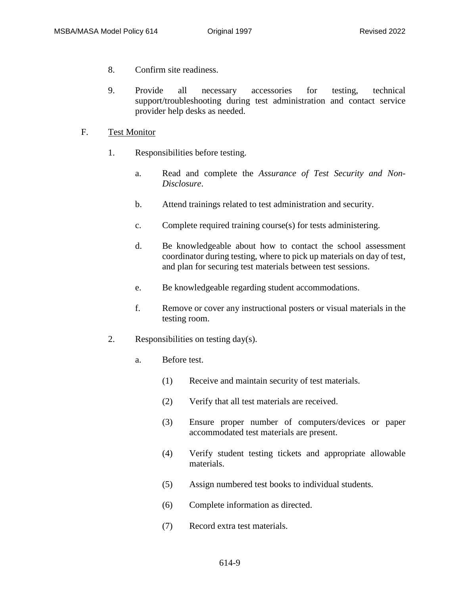- 8. Confirm site readiness.
- 9. Provide all necessary accessories for testing, technical support/troubleshooting during test administration and contact service provider help desks as needed.

#### F. Test Monitor

- 1. Responsibilities before testing.
	- a. Read and complete the *Assurance of Test Security and Non-Disclosure*.
	- b. Attend trainings related to test administration and security.
	- c. Complete required training course(s) for tests administering.
	- d. Be knowledgeable about how to contact the school assessment coordinator during testing, where to pick up materials on day of test, and plan for securing test materials between test sessions.
	- e. Be knowledgeable regarding student accommodations.
	- f. Remove or cover any instructional posters or visual materials in the testing room.
- 2. Responsibilities on testing day(s).
	- a. Before test.
		- (1) Receive and maintain security of test materials.
		- (2) Verify that all test materials are received.
		- (3) Ensure proper number of computers/devices or paper accommodated test materials are present.
		- (4) Verify student testing tickets and appropriate allowable materials.
		- (5) Assign numbered test books to individual students.
		- (6) Complete information as directed.
		- (7) Record extra test materials.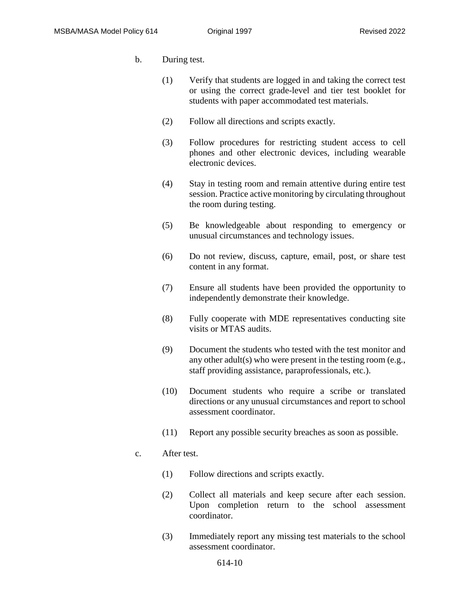- b. During test.
	- (1) Verify that students are logged in and taking the correct test or using the correct grade-level and tier test booklet for students with paper accommodated test materials.
	- (2) Follow all directions and scripts exactly.
	- (3) Follow procedures for restricting student access to cell phones and other electronic devices, including wearable electronic devices.
	- (4) Stay in testing room and remain attentive during entire test session. Practice active monitoring by circulating throughout the room during testing.
	- (5) Be knowledgeable about responding to emergency or unusual circumstances and technology issues.
	- (6) Do not review, discuss, capture, email, post, or share test content in any format.
	- (7) Ensure all students have been provided the opportunity to independently demonstrate their knowledge.
	- (8) Fully cooperate with MDE representatives conducting site visits or MTAS audits.
	- (9) Document the students who tested with the test monitor and any other adult(s) who were present in the testing room (e.g., staff providing assistance, paraprofessionals, etc.).
	- (10) Document students who require a scribe or translated directions or any unusual circumstances and report to school assessment coordinator.
	- (11) Report any possible security breaches as soon as possible.

### c. After test.

- (1) Follow directions and scripts exactly.
- (2) Collect all materials and keep secure after each session. Upon completion return to the school assessment coordinator.
- (3) Immediately report any missing test materials to the school assessment coordinator.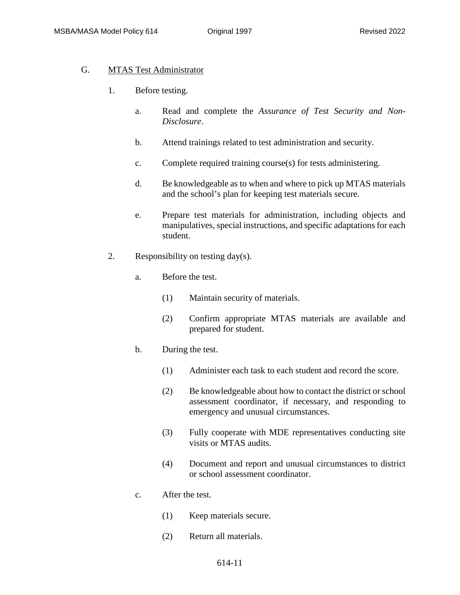### G. MTAS Test Administrator

- 1. Before testing.
	- a. Read and complete the *Assurance of Test Security and Non-Disclosure*.
	- b. Attend trainings related to test administration and security.
	- c. Complete required training course(s) for tests administering.
	- d. Be knowledgeable as to when and where to pick up MTAS materials and the school's plan for keeping test materials secure.
	- e. Prepare test materials for administration, including objects and manipulatives, special instructions, and specific adaptations for each student.
- 2. Responsibility on testing day(s).
	- a. Before the test.
		- (1) Maintain security of materials.
		- (2) Confirm appropriate MTAS materials are available and prepared for student.
	- b. During the test.
		- (1) Administer each task to each student and record the score.
		- (2) Be knowledgeable about how to contact the district or school assessment coordinator, if necessary, and responding to emergency and unusual circumstances.
		- (3) Fully cooperate with MDE representatives conducting site visits or MTAS audits.
		- (4) Document and report and unusual circumstances to district or school assessment coordinator.
	- c. After the test.
		- (1) Keep materials secure.
		- (2) Return all materials.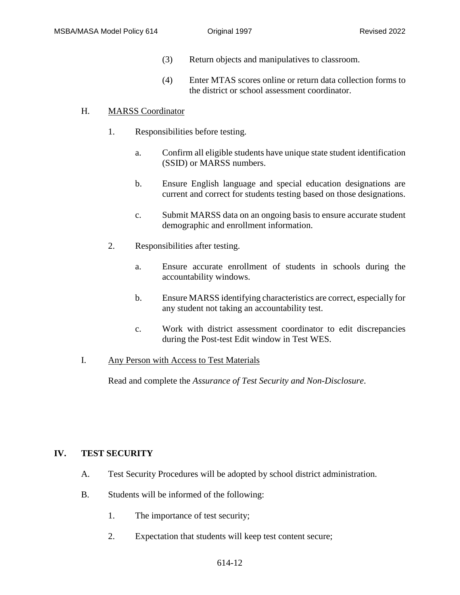- (3) Return objects and manipulatives to classroom.
- (4) Enter MTAS scores online or return data collection forms to the district or school assessment coordinator.

## H. MARSS Coordinator

- 1. Responsibilities before testing.
	- a. Confirm all eligible students have unique state student identification (SSID) or MARSS numbers.
	- b. Ensure English language and special education designations are current and correct for students testing based on those designations.
	- c. Submit MARSS data on an ongoing basis to ensure accurate student demographic and enrollment information.
- 2. Responsibilities after testing.
	- a. Ensure accurate enrollment of students in schools during the accountability windows.
	- b. Ensure MARSS identifying characteristics are correct, especially for any student not taking an accountability test.
	- c. Work with district assessment coordinator to edit discrepancies during the Post-test Edit window in Test WES.

### I. Any Person with Access to Test Materials

Read and complete the *Assurance of Test Security and Non-Disclosure*.

# **IV. TEST SECURITY**

- A. Test Security Procedures will be adopted by school district administration.
- B. Students will be informed of the following:
	- 1. The importance of test security;
	- 2. Expectation that students will keep test content secure;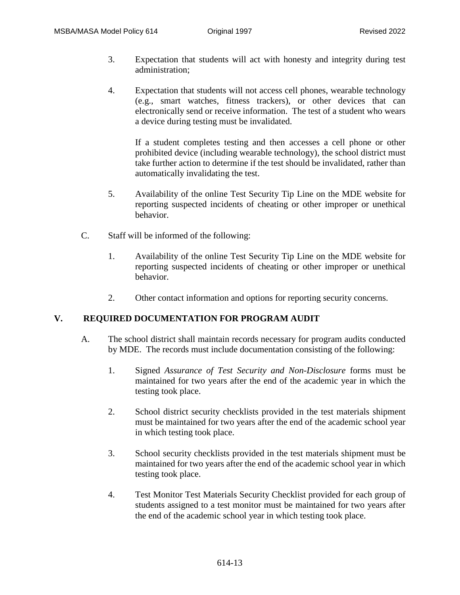- 3. Expectation that students will act with honesty and integrity during test administration;
- 4. Expectation that students will not access cell phones, wearable technology (e.g., smart watches, fitness trackers), or other devices that can electronically send or receive information. The test of a student who wears a device during testing must be invalidated.

If a student completes testing and then accesses a cell phone or other prohibited device (including wearable technology), the school district must take further action to determine if the test should be invalidated, rather than automatically invalidating the test.

- 5. Availability of the online Test Security Tip Line on the MDE website for reporting suspected incidents of cheating or other improper or unethical behavior.
- C. Staff will be informed of the following:
	- 1. Availability of the online Test Security Tip Line on the MDE website for reporting suspected incidents of cheating or other improper or unethical behavior.
	- 2. Other contact information and options for reporting security concerns.

# **V. REQUIRED DOCUMENTATION FOR PROGRAM AUDIT**

- A. The school district shall maintain records necessary for program audits conducted by MDE. The records must include documentation consisting of the following:
	- 1. Signed *Assurance of Test Security and Non-Disclosure* forms must be maintained for two years after the end of the academic year in which the testing took place.
	- 2. School district security checklists provided in the test materials shipment must be maintained for two years after the end of the academic school year in which testing took place.
	- 3. School security checklists provided in the test materials shipment must be maintained for two years after the end of the academic school year in which testing took place.
	- 4. Test Monitor Test Materials Security Checklist provided for each group of students assigned to a test monitor must be maintained for two years after the end of the academic school year in which testing took place.